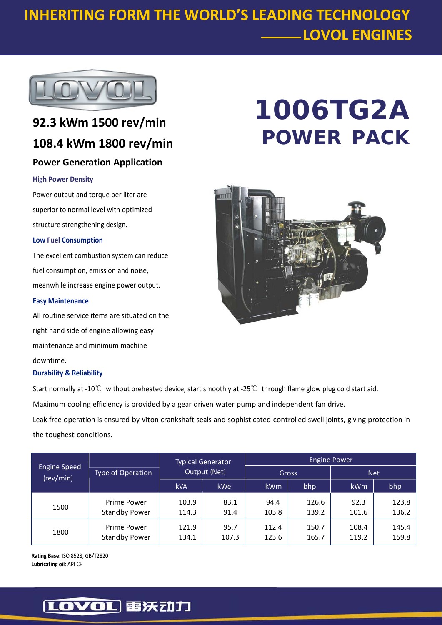## **INHERITING FORM THE WORLD'S LEADING TECHNOLOGY LOVOL ENGINES**



## **92.3 kWm 1500 rev/min 108.4 kWm 1800 rev/min Power Generation Application**

#### **High Power Density**

Power output and torque per liter are superior to normal level with optimized structure strengthening design.

#### **Low Fuel Consumption**

The excellent combustion system can reduce fuel consumption, emission and noise, meanwhile increase engine power output.

#### **Easy Maintenance**

All routine service items are situated on the right hand side of engine allowing easy maintenance and minimum machine downtime.

#### **Durability & Reliability**

Start normally at ‐10℃ without preheated device, start smoothly at ‐25℃ through flame glow plug cold start aid.

Maximum cooling efficiency is provided by a gear driven water pump and independent fan drive.

Leak free operation is ensured by Viton crankshaft seals and sophisticated controlled swell joints, giving protection in the toughest conditions.

| <b>Engine Speed</b><br>(rev/min) | Type of Operation                   | <b>Typical Generator</b><br>Output (Net) |               | <b>Engine Power</b> |                |                |                |
|----------------------------------|-------------------------------------|------------------------------------------|---------------|---------------------|----------------|----------------|----------------|
|                                  |                                     |                                          |               | Gross               |                | <b>Net</b>     |                |
|                                  |                                     | <b>kVA</b>                               | <b>kWe</b>    | kWm                 | bhp            | <b>kWm</b>     | bhp            |
| 1500                             | Prime Power<br><b>Standby Power</b> | 103.9<br>114.3                           | 83.1<br>91.4  | 94.4<br>103.8       | 126.6<br>139.2 | 92.3<br>101.6  | 123.8<br>136.2 |
| 1800                             | Prime Power<br><b>Standby Power</b> | 121.9<br>134.1                           | 95.7<br>107.3 | 112.4<br>123.6      | 150.7<br>165.7 | 108.4<br>119.2 | 145.4<br>159.8 |

**Rating Base**: ISO 8528, GB/T2820 **Lubricating oil**: API CF

# **1006TG2A POWER PACK**



### [LOVOL] 雷沃动力